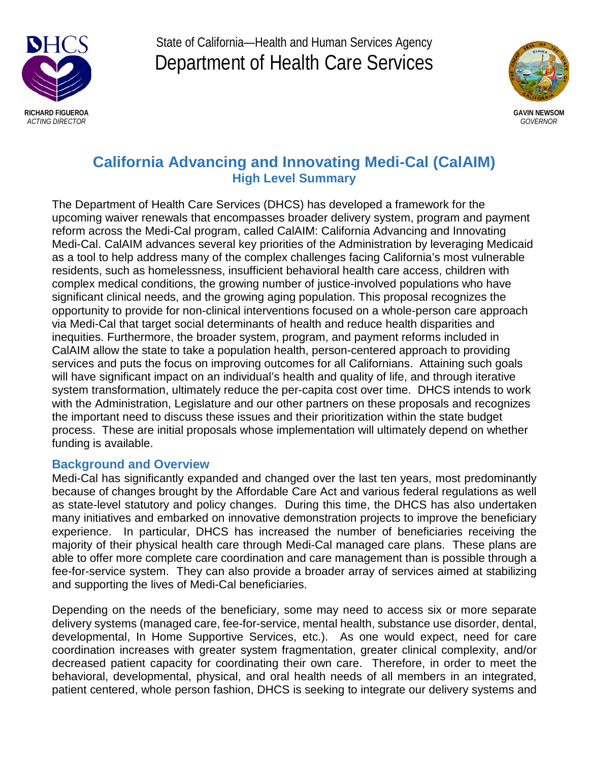

State of California—Health and Human Services Agency Department of Health Care Services



# **California Advancing and Innovating Medi-Cal (CalAIM)** California Advancing and Innovating Medi-Cal (CalAIM) **High Level Summary** High Level Summary High Level Summary

The Department of Health Care Services (DHCS) has developed a framework for the upcoming waiver renewals that encompasses broader delivery system, program and payment reform across the Medi-Cal program, called CalAIM: California Advancing and Innovating Medi-Cal. CalAIM advances several key priorities of the Administration by leveraging Medicaid as a tool to help address many of the complex challenges facing California's most vulnerable residents, such as homelessness, insufficient behavioral health care access, children with complex medical conditions, the growing number of justice-involved populations who have significant clinical needs, and the growing aging population. This proposal recognizes the opportunity to provide for non-clinical interventions focused on a whole-person care approach via Medi-Cal that target social determinants of health and reduce health disparities and inequities. Furthermore, the broader system, program, and payment reforms included in CalAIM allow the state to take a population health, person-centered approach to providing services and puts the focus on improving outcomes for all Californians. Attaining such goals will have significant impact on an individual's health and quality of life, and through iterative system transformation, ultimately reduce the per-capita cost over time. DHCS intends to work with the Administration, Legislature and our other partners on these proposals and recognizes the important need to discuss these issues and their prioritization within the state budget process. These are initial proposals whose implementation will ultimately depend on whether funding is available.

#### **Background and Overview**

Medi-Cal has significantly expanded and changed over the last ten years, most predominantly because of changes brought by the Affordable Care Act and various federal regulations as well as state-level statutory and policy changes. During this time, the DHCS has also undertaken many initiatives and embarked on innovative demonstration projects to improve the beneficiary experience. In particular, DHCS has increased the number of beneficiaries receiving the majority of their physical health care through Medi-Cal managed care plans. These plans are able to offer more complete care coordination and care management than is possible through a fee-for-service system. They can also provide a broader array of services aimed at stabilizing nos for service system. They can also provide a broader andy of services almod at state<br>and supporting the lives of Medi-Cal beneficiaries. stabilizing and supporting the lives of Medi-Cal beneficiaries.

Depending on the needs of the beneficiary, some may need to access six or more separate delivery systems (managed care, fee-for-service, mental health, substance use disorder, dental, developmental, In Home Supportive Services, etc.). As one would expect, need for care coordination increases with greater system fragmentation, greater clinical complexity, and/or decreased patient capacity for coordinating their own care. Therefore, in order to meet the behavioral, developmental, physical, and oral health needs of all members in an integrated, patient centered, whole person fashion, DHCS is seeking to integrate our delivery systems and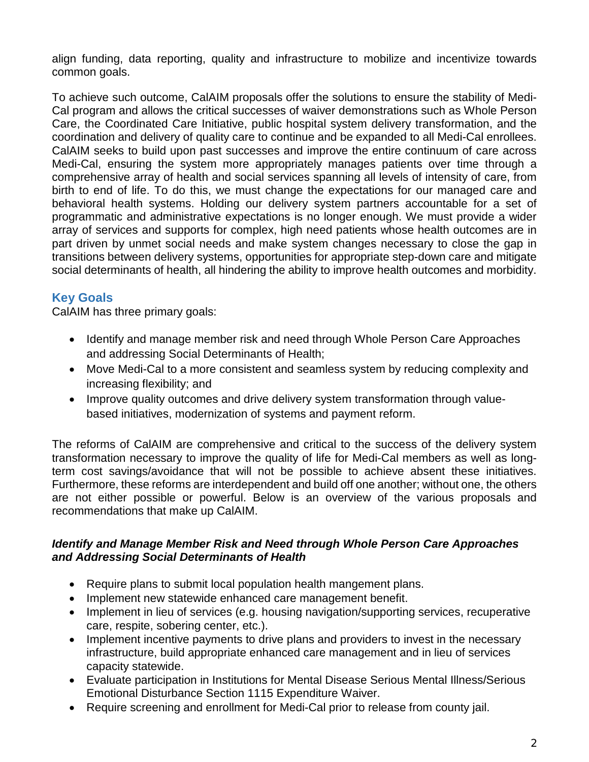align funding, data reporting, quality and infrastructure to mobilize and incentivize towards common goals.

To achieve such outcome, CalAIM proposals offer the solutions to ensure the stability of Medi-Cal program and allows the critical successes of waiver demonstrations such as Whole Person Care, the Coordinated Care Initiative, public hospital system delivery transformation, and the coordination and delivery of quality care to continue and be expanded to all Medi-Cal enrollees. CalAIM seeks to build upon past successes and improve the entire continuum of care across Medi-Cal, ensuring the system more appropriately manages patients over time through a comprehensive array of health and social services spanning all levels of intensity of care, from birth to end of life. To do this, we must change the expectations for our managed care and behavioral health systems. Holding our delivery system partners accountable for a set of programmatic and administrative expectations is no longer enough. We must provide a wider array of services and supports for complex, high need patients whose health outcomes are in part driven by unmet social needs and make system changes necessary to close the gap in transitions between delivery systems, opportunities for appropriate step-down care and mitigate social determinants of health, all hindering the ability to improve health outcomes and morbidity.

## **Key Goals**

CalAIM has three primary goals: CalAIM has three primary goals:

- Identify and manage member risk and need through Whole Person Care Approaches and addressing Social Determinants of Health;
- Move Medi-Cal to a more consistent and seamless system by reducing complexity and increasing flexibility; and
- Improve quality outcomes and drive delivery system transformation through valuebased initiatives, modernization of systems and payment reform.

The reforms of CalAIM are comprehensive and critical to the success of the delivery system transformation necessary to improve the quality of life for Medi-Cal members as well as longterm cost savings/avoidance that will not be possible to achieve absent these initiatives. Furthermore, these reforms are interdependent and build off one another; without one, the others are not either possible or powerful. Below is an overview of the various proposals and recommendations that make up CalAIM.

#### *Identify and Manage Member Risk and Need through Whole Person Care Approaches and Addressing Social Determinants of Health*

- Require plans to submit local population health mangement plans.
- Implement new statewide enhanced care management benefit.
- Implement in lieu of services (e.g. housing navigation/supporting services, recuperative care, respite, sobering center, etc.).
- Implement incentive payments to drive plans and providers to invest in the necessary infrastructure, build appropriate enhanced care management and in lieu of services capacity statewide.
- Evaluate participation in Institutions for Mental Disease Serious Mental Illness/Serious Emotional Disturbance Section 1115 Expenditure Waiver.
- Require screening and enrollment for Medi-Cal prior to release from county jail.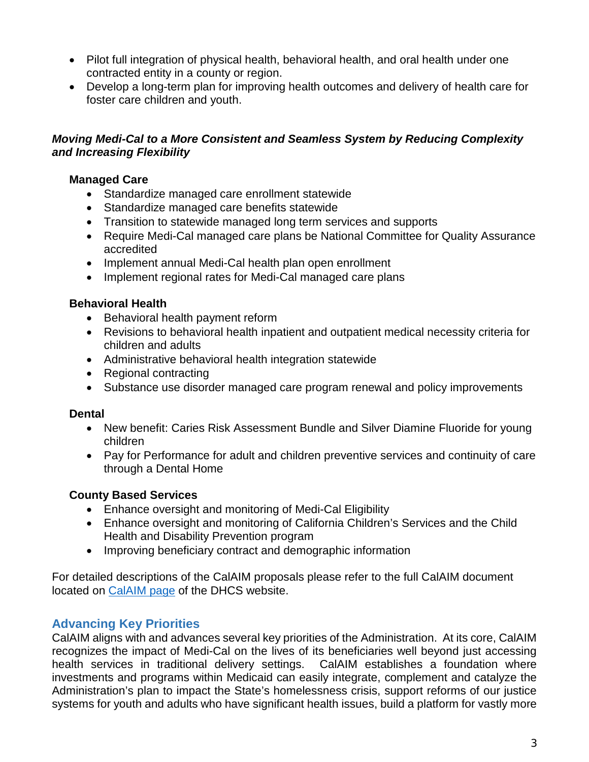- Pilot full integration of physical health, behavioral health, and oral health under one contracted entity in a county or region.
- Develop a long-term plan for improving health outcomes and delivery of health care for foster care children and youth.

#### *Moving Medi-Cal to a More Consistent and Seamless System by Reducing Complexity and Increasing Flexibility*

#### **Managed Care**

- Standardize managed care enrollment statewide
- Standardize managed care benefits statewide
- Transition to statewide managed long term services and supports
- Require Medi-Cal managed care plans be National Committee for Quality Assurance accredited
- Implement annual Medi-Cal health plan open enrollment
- Implement regional rates for Medi-Cal managed care plans

## **Behavioral Health**

- Behavioral health payment reform
- Revisions to behavioral health inpatient and outpatient medical necessity criteria for children and adults
- Administrative behavioral health integration statewide
- Regional contracting
- Substance use disorder managed care program renewal and policy improvements

#### **Dental**

- New benefit: Caries Risk Assessment Bundle and Silver Diamine Fluoride for young children
- Pay for Performance for adult and children preventive services and continuity of care through a Dental Home

## **County Based Services**

- Enhance oversight and monitoring of Medi-Cal Eligibility Enhance oversight and monitoring of Medi-Cal Eligibility
- Enhance oversight and monitoring of California Children's Services and the Child Health and Disability Prevention program
- Improving beneficiary contract and demographic information Improving beneficiary contract and demographic information

For detailed descriptions of the CalAIM proposals please refer to the full CalAIM document located on [CalAIM page](https://www.dhcs.ca.gov/calaim) of the DHCS website.

# **Advancing Key Priorities**

CalAIM aligns with and advances several key priorities of the Administration. At its core, CalAIM recognizes the impact of Medi-Cal on the lives of its beneficiaries well beyond just accessing health services in traditional delivery settings. CalAIM establishes a foundation where investments and programs within Medicaid can easily integrate, complement and catalyze the Administration's plan to impact the State's homelessness crisis, support reforms of our justice systems for youth and adults who have significant health issues, build a platform for vastly more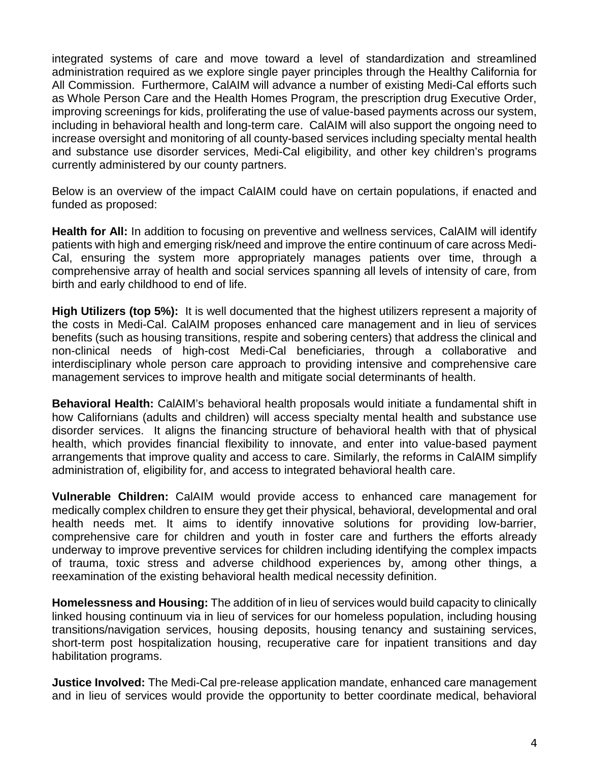integrated systems of care and move toward a level of standardization and streamlined administration required as we explore single payer principles through the Healthy California for All Commission. Furthermore, CalAIM will advance a number of existing Medi-Cal efforts such as Whole Person Care and the Health Homes Program, the prescription drug Executive Order, improving screenings for kids, proliferating the use of value-based payments across our system, including in behavioral health and long-term care. CalAIM will also support the ongoing need to increase oversight and monitoring of all county-based services including specialty mental health and substance use disorder services, Medi-Cal eligibility, and other key children's programs currently administered by our county partners.

Below is an overview of the impact CalAIM could have on certain populations, if enacted and funded as proposed:

**Health for All:** In addition to focusing on preventive and wellness services, CalAIM will identify patients with high and emerging risk/need and improve the entire continuum of care across Medi-Cal, ensuring the system more appropriately manages patients over time, through a comprehensive array of health and social services spanning all levels of intensity of care, from birth and early childhood to end of life.

**High Utilizers (top 5%):** It is well documented that the highest utilizers represent a majority of the costs in Medi-Cal. CalAIM proposes enhanced care management and in lieu of services benefits (such as housing transitions, respite and sobering centers) that address the clinical and non-clinical needs of high-cost Medi-Cal beneficiaries, through a collaborative and interdisciplinary whole person care approach to providing intensive and comprehensive care management services to improve health and mitigate social determinants of health.

**Behavioral Health:** CalAIM's behavioral health proposals would initiate a fundamental shift in how Californians (adults and children) will access specialty mental health and substance use disorder services. It aligns the financing structure of behavioral health with that of physical health, which provides financial flexibility to innovate, and enter into value-based payment arrangements that improve quality and access to care. Similarly, the reforms in CalAIM simplify administration of, eligibility for, and access to integrated behavioral health care.

**Vulnerable Children:** CalAIM would provide access to enhanced care management for medically complex children to ensure they get their physical, behavioral, developmental and oral health needs met. It aims to identify innovative solutions for providing low-barrier, comprehensive care for children and youth in foster care and furthers the efforts already underway to improve preventive services for children including identifying the complex impacts of trauma, toxic stress and adverse childhood experiences by, among other things, a reexamination of the existing behavioral health medical necessity definition.

**Homelessness and Housing:** The addition of in lieu of services would build capacity to clinically linked housing continuum via in lieu of services for our homeless population, including housing transitions/navigation services, housing deposits, housing tenancy and sustaining services, short-term post hospitalization housing, recuperative care for inpatient transitions and day habilitation programs.

**Justice Involved:** The Medi-Cal pre-release application mandate, enhanced care management and in lieu of services would provide the opportunity to better coordinate medical, behavioral